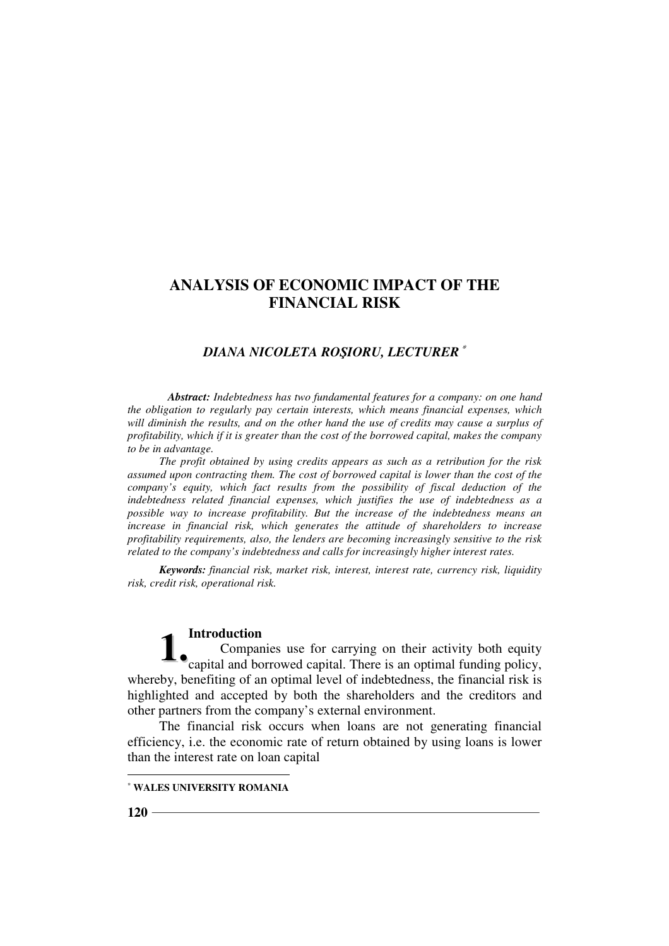# *DIANA NICOLETA ROŞIORU, LECTURER*<sup>∗</sup>

*Abstract: Indebtedness has two fundamental features for a company: on one hand the obligation to regularly pay certain interests, which means financial expenses, which will diminish the results, and on the other hand the use of credits may cause a surplus of profitability, which if it is greater than the cost of the borrowed capital, makes the company to be in advantage.* 

*The profit obtained by using credits appears as such as a retribution for the risk assumed upon contracting them. The cost of borrowed capital is lower than the cost of the company's equity, which fact results from the possibility of fiscal deduction of the indebtedness related financial expenses, which justifies the use of indebtedness as a possible way to increase profitability. But the increase of the indebtedness means an increase in financial risk, which generates the attitude of shareholders to increase profitability requirements, also, the lenders are becoming increasingly sensitive to the risk related to the company's indebtedness and calls for increasingly higher interest rates.* 

*Keywords: financial risk, market risk, interest, interest rate, currency risk, liquidity risk, credit risk, operational risk.* 

#### **Introduction**

Companies use for carrying on their activity both equity **1.** Companies use for carrying on their activity both equity capital and borrowed capital. There is an optimal funding policy, whereby, benefiting of an optimal level of indebtedness, the financial risk is highlighted and accepted by both the shareholders and the creditors and other partners from the company's external environment.

The financial risk occurs when loans are not generating financial efficiency, i.e. the economic rate of return obtained by using loans is lower than the interest rate on loan capital

 $\overline{a}$ 

<sup>∗</sup> **WALES UNIVERSITY ROMANIA**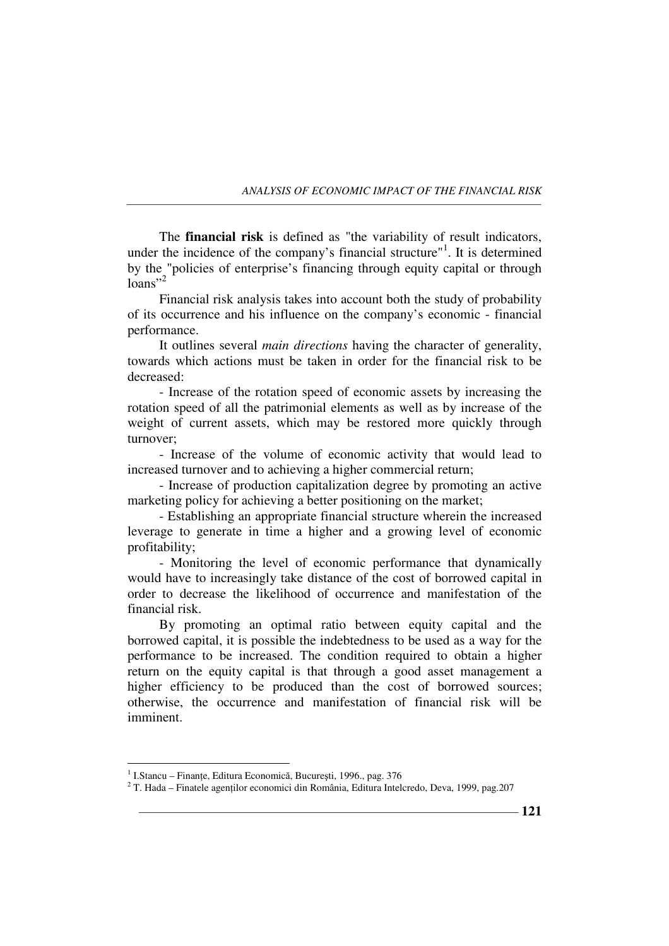The **financial risk** is defined as "the variability of result indicators, under the incidence of the company's financial structure"<sup>1</sup>. It is determined by the "policies of enterprise's financing through equity capital or through  $\text{loans}^{3,2}$ 

Financial risk analysis takes into account both the study of probability of its occurrence and his influence on the company's economic - financial performance.

It outlines several *main directions* having the character of generality, towards which actions must be taken in order for the financial risk to be decreased:

- Increase of the rotation speed of economic assets by increasing the rotation speed of all the patrimonial elements as well as by increase of the weight of current assets, which may be restored more quickly through turnover;

- Increase of the volume of economic activity that would lead to increased turnover and to achieving a higher commercial return;

- Increase of production capitalization degree by promoting an active marketing policy for achieving a better positioning on the market;

- Establishing an appropriate financial structure wherein the increased leverage to generate in time a higher and a growing level of economic profitability;

- Monitoring the level of economic performance that dynamically would have to increasingly take distance of the cost of borrowed capital in order to decrease the likelihood of occurrence and manifestation of the financial risk.

By promoting an optimal ratio between equity capital and the borrowed capital, it is possible the indebtedness to be used as a way for the performance to be increased. The condition required to obtain a higher return on the equity capital is that through a good asset management a higher efficiency to be produced than the cost of borrowed sources; otherwise, the occurrence and manifestation of financial risk will be imminent.

 $\overline{a}$ 

<sup>&</sup>lt;sup>1</sup> I.Stancu – Finanțe, Editura Economică, București, 1996., pag. 376

 $2^2$  T. Hada – Finatele agenților economici din România, Editura Intelcredo, Deva, 1999, pag.207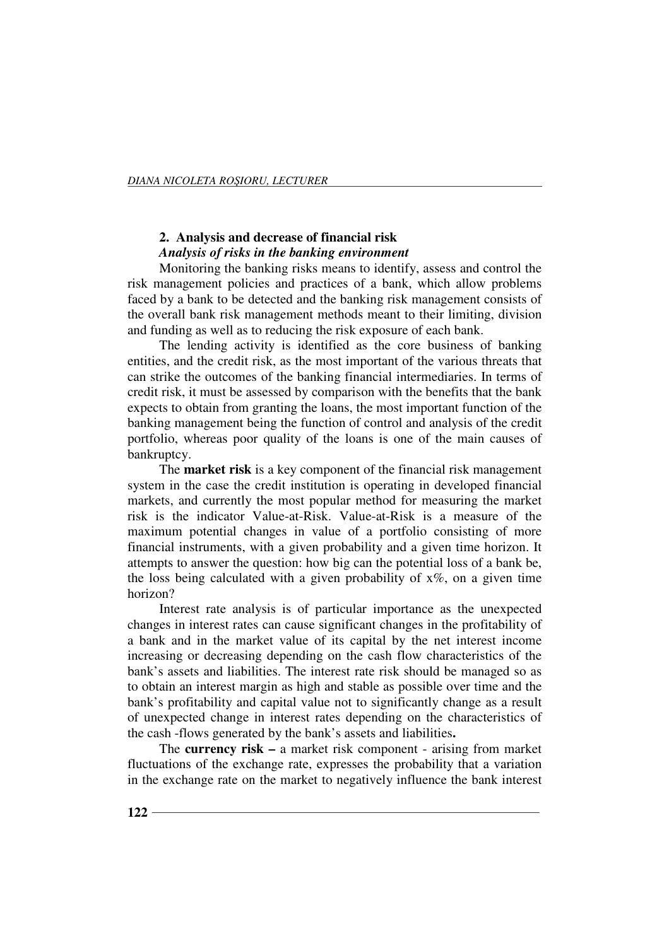# **2. Analysis and decrease of financial risk**

# *Analysis of risks in the banking environment*

Monitoring the banking risks means to identify, assess and control the risk management policies and practices of a bank, which allow problems faced by a bank to be detected and the banking risk management consists of the overall bank risk management methods meant to their limiting, division and funding as well as to reducing the risk exposure of each bank.

The lending activity is identified as the core business of banking entities, and the credit risk, as the most important of the various threats that can strike the outcomes of the banking financial intermediaries. In terms of credit risk, it must be assessed by comparison with the benefits that the bank expects to obtain from granting the loans, the most important function of the banking management being the function of control and analysis of the credit portfolio, whereas poor quality of the loans is one of the main causes of bankruptcy.

The **market risk** is a key component of the financial risk management system in the case the credit institution is operating in developed financial markets, and currently the most popular method for measuring the market risk is the indicator Value-at-Risk. Value-at-Risk is a measure of the maximum potential changes in value of a portfolio consisting of more financial instruments, with a given probability and a given time horizon. It attempts to answer the question: how big can the potential loss of a bank be, the loss being calculated with a given probability of  $x\%$ , on a given time horizon?

Interest rate analysis is of particular importance as the unexpected changes in interest rates can cause significant changes in the profitability of a bank and in the market value of its capital by the net interest income increasing or decreasing depending on the cash flow characteristics of the bank's assets and liabilities. The interest rate risk should be managed so as to obtain an interest margin as high and stable as possible over time and the bank's profitability and capital value not to significantly change as a result of unexpected change in interest rates depending on the characteristics of the cash -flows generated by the bank's assets and liabilities**.** 

The **currency risk –** a market risk component - arising from market fluctuations of the exchange rate, expresses the probability that a variation in the exchange rate on the market to negatively influence the bank interest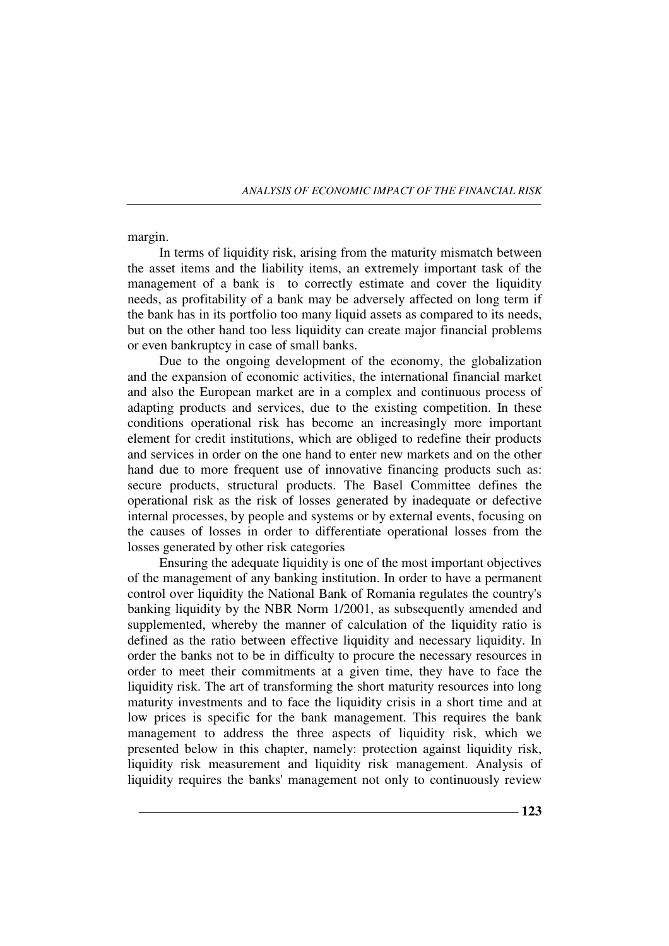margin.

In terms of liquidity risk, arising from the maturity mismatch between the asset items and the liability items, an extremely important task of the management of a bank is to correctly estimate and cover the liquidity needs, as profitability of a bank may be adversely affected on long term if the bank has in its portfolio too many liquid assets as compared to its needs, but on the other hand too less liquidity can create major financial problems or even bankruptcy in case of small banks.

Due to the ongoing development of the economy, the globalization and the expansion of economic activities, the international financial market and also the European market are in a complex and continuous process of adapting products and services, due to the existing competition. In these conditions operational risk has become an increasingly more important element for credit institutions, which are obliged to redefine their products and services in order on the one hand to enter new markets and on the other hand due to more frequent use of innovative financing products such as: secure products, structural products. The Basel Committee defines the operational risk as the risk of losses generated by inadequate or defective internal processes, by people and systems or by external events, focusing on the causes of losses in order to differentiate operational losses from the losses generated by other risk categories

Ensuring the adequate liquidity is one of the most important objectives of the management of any banking institution. In order to have a permanent control over liquidity the National Bank of Romania regulates the country's banking liquidity by the NBR Norm 1/2001, as subsequently amended and supplemented, whereby the manner of calculation of the liquidity ratio is defined as the ratio between effective liquidity and necessary liquidity. In order the banks not to be in difficulty to procure the necessary resources in order to meet their commitments at a given time, they have to face the liquidity risk. The art of transforming the short maturity resources into long maturity investments and to face the liquidity crisis in a short time and at low prices is specific for the bank management. This requires the bank management to address the three aspects of liquidity risk, which we presented below in this chapter, namely: protection against liquidity risk, liquidity risk measurement and liquidity risk management. Analysis of liquidity requires the banks' management not only to continuously review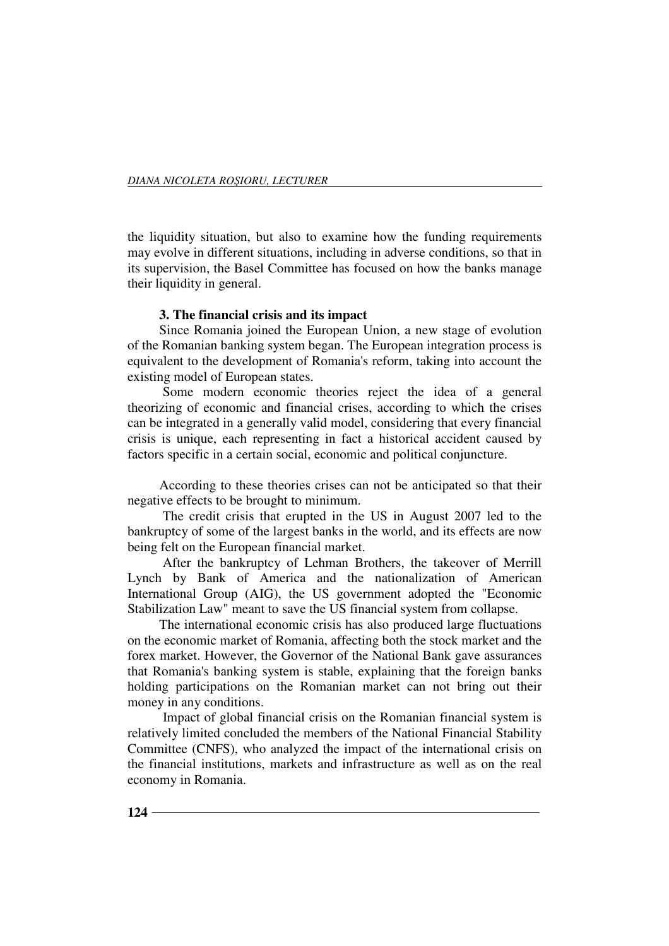the liquidity situation, but also to examine how the funding requirements may evolve in different situations, including in adverse conditions, so that in its supervision, the Basel Committee has focused on how the banks manage their liquidity in general.

# **3. The financial crisis and its impact**

Since Romania joined the European Union, a new stage of evolution of the Romanian banking system began. The European integration process is equivalent to the development of Romania's reform, taking into account the existing model of European states.

 Some modern economic theories reject the idea of a general theorizing of economic and financial crises, according to which the crises can be integrated in a generally valid model, considering that every financial crisis is unique, each representing in fact a historical accident caused by factors specific in a certain social, economic and political conjuncture.

According to these theories crises can not be anticipated so that their negative effects to be brought to minimum.

 The credit crisis that erupted in the US in August 2007 led to the bankruptcy of some of the largest banks in the world, and its effects are now being felt on the European financial market.

 After the bankruptcy of Lehman Brothers, the takeover of Merrill Lynch by Bank of America and the nationalization of American International Group (AIG), the US government adopted the "Economic Stabilization Law" meant to save the US financial system from collapse.

The international economic crisis has also produced large fluctuations on the economic market of Romania, affecting both the stock market and the forex market. However, the Governor of the National Bank gave assurances that Romania's banking system is stable, explaining that the foreign banks holding participations on the Romanian market can not bring out their money in any conditions.

 Impact of global financial crisis on the Romanian financial system is relatively limited concluded the members of the National Financial Stability Committee (CNFS), who analyzed the impact of the international crisis on the financial institutions, markets and infrastructure as well as on the real economy in Romania.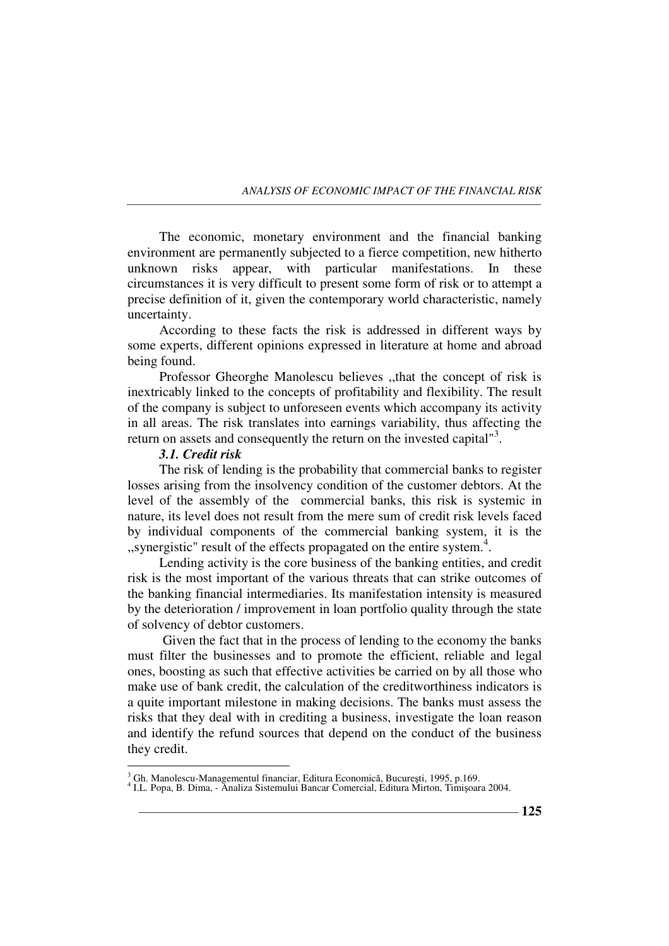The economic, monetary environment and the financial banking environment are permanently subjected to a fierce competition, new hitherto unknown risks appear, with particular manifestations. In these circumstances it is very difficult to present some form of risk or to attempt a precise definition of it, given the contemporary world characteristic, namely uncertainty.

According to these facts the risk is addressed in different ways by some experts, different opinions expressed in literature at home and abroad being found.

Professor Gheorghe Manolescu believes ,,that the concept of risk is inextricably linked to the concepts of profitability and flexibility. The result of the company is subject to unforeseen events which accompany its activity in all areas. The risk translates into earnings variability, thus affecting the return on assets and consequently the return on the invested capital<sup>"3</sup>.

### *3.1. Credit risk*

The risk of lending is the probability that commercial banks to register losses arising from the insolvency condition of the customer debtors. At the level of the assembly of the commercial banks, this risk is systemic in nature, its level does not result from the mere sum of credit risk levels faced by individual components of the commercial banking system, it is the ,,synergistic" result of the effects propagated on the entire system.<sup>4</sup> .

Lending activity is the core business of the banking entities, and credit risk is the most important of the various threats that can strike outcomes of the banking financial intermediaries. Its manifestation intensity is measured by the deterioration / improvement in loan portfolio quality through the state of solvency of debtor customers.

 Given the fact that in the process of lending to the economy the banks must filter the businesses and to promote the efficient, reliable and legal ones, boosting as such that effective activities be carried on by all those who make use of bank credit, the calculation of the creditworthiness indicators is a quite important milestone in making decisions. The banks must assess the risks that they deal with in crediting a business, investigate the loan reason and identify the refund sources that depend on the conduct of the business they credit.

 3 Gh. Manolescu-Managementul financiar, Editura Economică, Bucureşti, 1995, p.169. 4 I.L. Popa, B. Dima, - Analiza Sistemului Bancar Comercial, Editura Mirton, Timişoara 2004.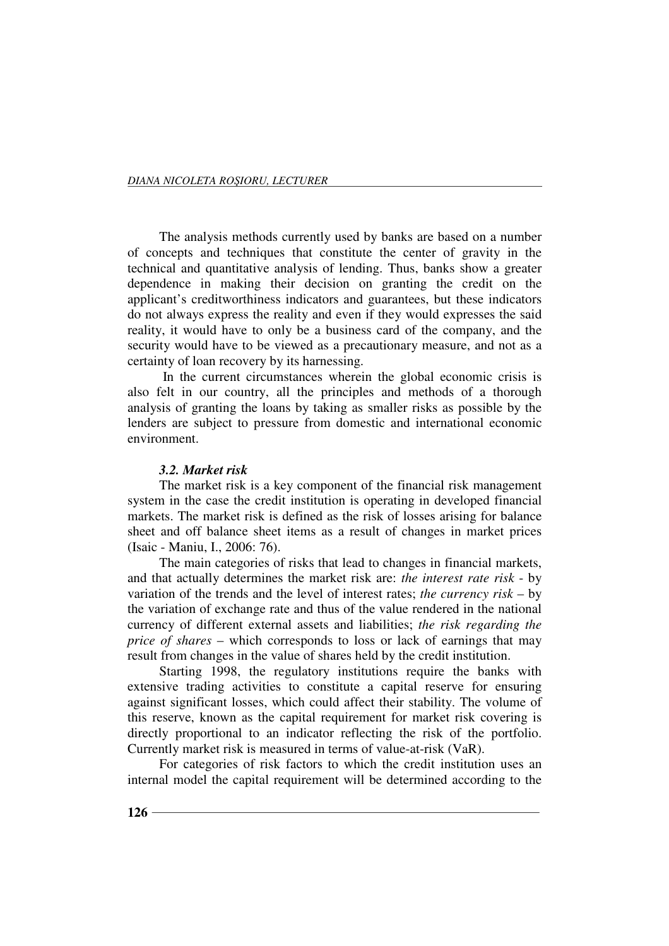The analysis methods currently used by banks are based on a number of concepts and techniques that constitute the center of gravity in the technical and quantitative analysis of lending. Thus, banks show a greater dependence in making their decision on granting the credit on the applicant's creditworthiness indicators and guarantees, but these indicators do not always express the reality and even if they would expresses the said reality, it would have to only be a business card of the company, and the security would have to be viewed as a precautionary measure, and not as a certainty of loan recovery by its harnessing.

 In the current circumstances wherein the global economic crisis is also felt in our country, all the principles and methods of a thorough analysis of granting the loans by taking as smaller risks as possible by the lenders are subject to pressure from domestic and international economic environment.

#### *3.2. Market risk*

The market risk is a key component of the financial risk management system in the case the credit institution is operating in developed financial markets. The market risk is defined as the risk of losses arising for balance sheet and off balance sheet items as a result of changes in market prices (Isaic - Maniu, I., 2006: 76).

The main categories of risks that lead to changes in financial markets, and that actually determines the market risk are: *the interest rate risk* - by variation of the trends and the level of interest rates; *the currency risk* – by the variation of exchange rate and thus of the value rendered in the national currency of different external assets and liabilities; *the risk regarding the price of shares* – which corresponds to loss or lack of earnings that may result from changes in the value of shares held by the credit institution.

Starting 1998, the regulatory institutions require the banks with extensive trading activities to constitute a capital reserve for ensuring against significant losses, which could affect their stability. The volume of this reserve, known as the capital requirement for market risk covering is directly proportional to an indicator reflecting the risk of the portfolio. Currently market risk is measured in terms of value-at-risk (VaR).

For categories of risk factors to which the credit institution uses an internal model the capital requirement will be determined according to the

**126**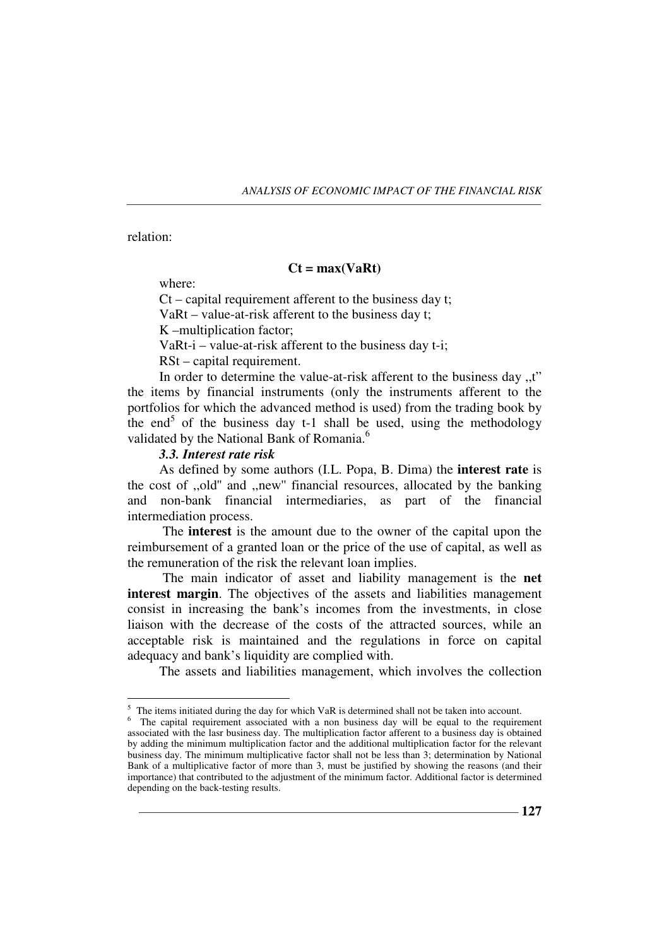relation:

 $\overline{a}$ 

### **Ct = max(VaRt)**

where:

Ct – capital requirement afferent to the business day t; VaRt – value-at-risk afferent to the business day t; K –multiplication factor;

VaRt-i – value-at-risk afferent to the business day t-i;

RSt – capital requirement.

In order to determine the value-at-risk afferent to the business day ,,t" the items by financial instruments (only the instruments afferent to the portfolios for which the advanced method is used) from the trading book by the end<sup>5</sup> of the business day t-1 shall be used, using the methodology validated by the National Bank of Romania.<sup>6</sup>

### *3.3. Interest rate risk*

As defined by some authors (I.L. Popa, B. Dima) the **interest rate** is the cost of ,,old'' and ,,new'' financial resources, allocated by the banking and non-bank financial intermediaries, as part of the financial intermediation process.

 The **interest** is the amount due to the owner of the capital upon the reimbursement of a granted loan or the price of the use of capital, as well as the remuneration of the risk the relevant loan implies.

 The main indicator of asset and liability management is the **net interest margin**. The objectives of the assets and liabilities management consist in increasing the bank's incomes from the investments, in close liaison with the decrease of the costs of the attracted sources, while an acceptable risk is maintained and the regulations in force on capital adequacy and bank's liquidity are complied with.

The assets and liabilities management, which involves the collection

 $<sup>5</sup>$  The items initiated during the day for which VaR is determined shall not be taken into account.</sup>

<sup>&</sup>lt;sup>6</sup> The capital requirement associated with a non business day will be equal to the requirement associated with the lasr business day. The multiplication factor afferent to a business day is obtained by adding the minimum multiplication factor and the additional multiplication factor for the relevant business day. The minimum multiplicative factor shall not be less than 3; determination by National Bank of a multiplicative factor of more than 3, must be justified by showing the reasons (and their importance) that contributed to the adjustment of the minimum factor. Additional factor is determined depending on the back-testing results.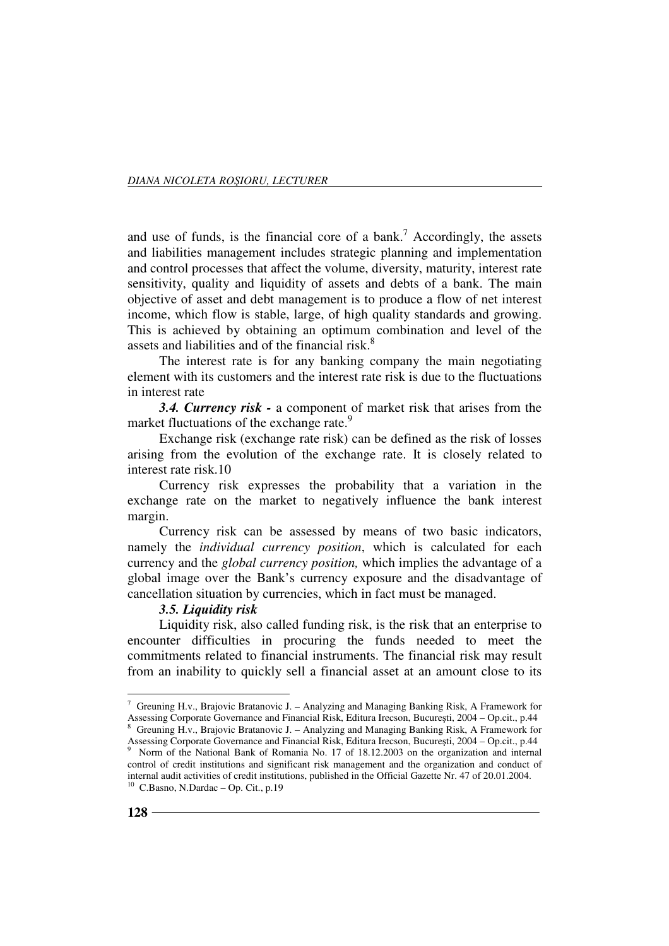and use of funds, is the financial core of a bank.<sup>7</sup> Accordingly, the assets and liabilities management includes strategic planning and implementation and control processes that affect the volume, diversity, maturity, interest rate sensitivity, quality and liquidity of assets and debts of a bank. The main objective of asset and debt management is to produce a flow of net interest income, which flow is stable, large, of high quality standards and growing. This is achieved by obtaining an optimum combination and level of the assets and liabilities and of the financial risk.<sup>8</sup>

The interest rate is for any banking company the main negotiating element with its customers and the interest rate risk is due to the fluctuations in interest rate

*3.4. Currency risk -* a component of market risk that arises from the market fluctuations of the exchange rate.<sup>9</sup>

Exchange risk (exchange rate risk) can be defined as the risk of losses arising from the evolution of the exchange rate. It is closely related to interest rate risk.10

Currency risk expresses the probability that a variation in the exchange rate on the market to negatively influence the bank interest margin.

Currency risk can be assessed by means of two basic indicators, namely the *individual currency position*, which is calculated for each currency and the *global currency position,* which implies the advantage of a global image over the Bank's currency exposure and the disadvantage of cancellation situation by currencies, which in fact must be managed.

### *3.5. Liquidity risk*

Liquidity risk, also called funding risk, is the risk that an enterprise to encounter difficulties in procuring the funds needed to meet the commitments related to financial instruments. The financial risk may result from an inability to quickly sell a financial asset at an amount close to its

 $\overline{a}$ <sup>7</sup> Greuning H.v., Brajovic Bratanovic J. – Analyzing and Managing Banking Risk, A Framework for Assessing Corporate Governance and Financial Risk, Editura Irecson, Bucureşti, 2004 – Op.cit., p.44 <sup>8</sup> Greuning H.v., Brajovic Bratanovic J. - Analyzing and Managing Banking Risk, A Framework for

Assessing Corporate Governance and Financial Risk, Editura Irecson, București, 2004 – Op.cit., p.44<br><sup>9</sup> Norm of the National Bank of Pomania No. 17 of 18.12.2003 on the organization and internal Norm of the National Bank of Romania No. 17 of 18.12.2003 on the organization and internal control of credit institutions and significant risk management and the organization and conduct of internal audit activities of credit institutions, published in the Official Gazette Nr. 47 of 20.01.2004.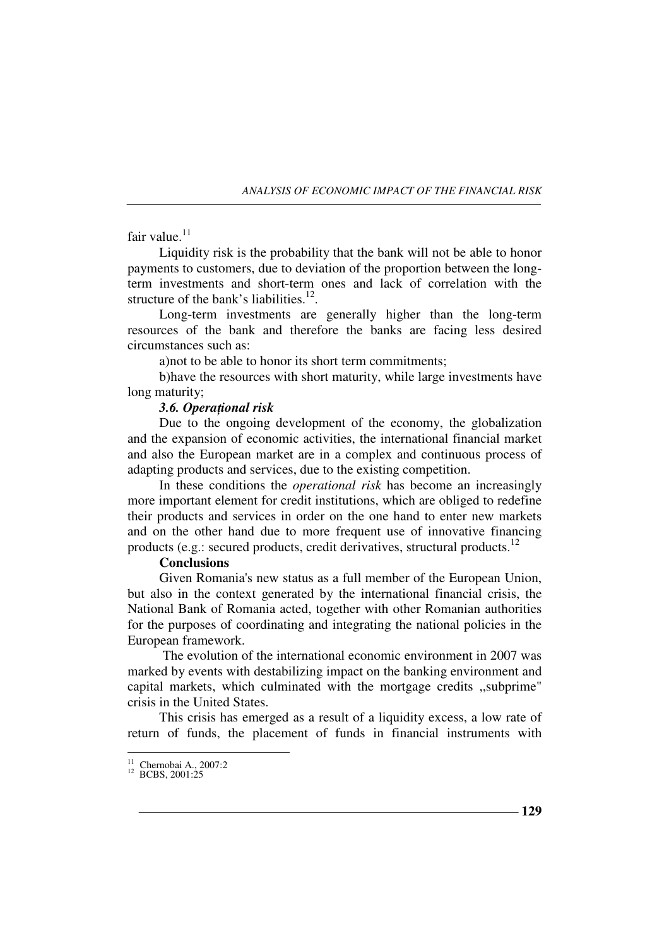fair value. $11$ 

Liquidity risk is the probability that the bank will not be able to honor payments to customers, due to deviation of the proportion between the longterm investments and short-term ones and lack of correlation with the structure of the bank's liabilities. $12$ .

Long-term investments are generally higher than the long-term resources of the bank and therefore the banks are facing less desired circumstances such as:

a)not to be able to honor its short term commitments;

b)have the resources with short maturity, while large investments have long maturity;

### 3.6. Operational risk

Due to the ongoing development of the economy, the globalization and the expansion of economic activities, the international financial market and also the European market are in a complex and continuous process of adapting products and services, due to the existing competition.

In these conditions the *operational risk* has become an increasingly more important element for credit institutions, which are obliged to redefine their products and services in order on the one hand to enter new markets and on the other hand due to more frequent use of innovative financing products (e.g.: secured products, credit derivatives, structural products.<sup>12</sup>

# **Conclusions**

Given Romania's new status as a full member of the European Union, but also in the context generated by the international financial crisis, the National Bank of Romania acted, together with other Romanian authorities for the purposes of coordinating and integrating the national policies in the European framework.

 The evolution of the international economic environment in 2007 was marked by events with destabilizing impact on the banking environment and capital markets, which culminated with the mortgage credits ,,subprime" crisis in the United States.

This crisis has emerged as a result of a liquidity excess, a low rate of return of funds, the placement of funds in financial instruments with

 11 Chernobai A., 2007:2 <sup>12</sup> BCBS, 2001:25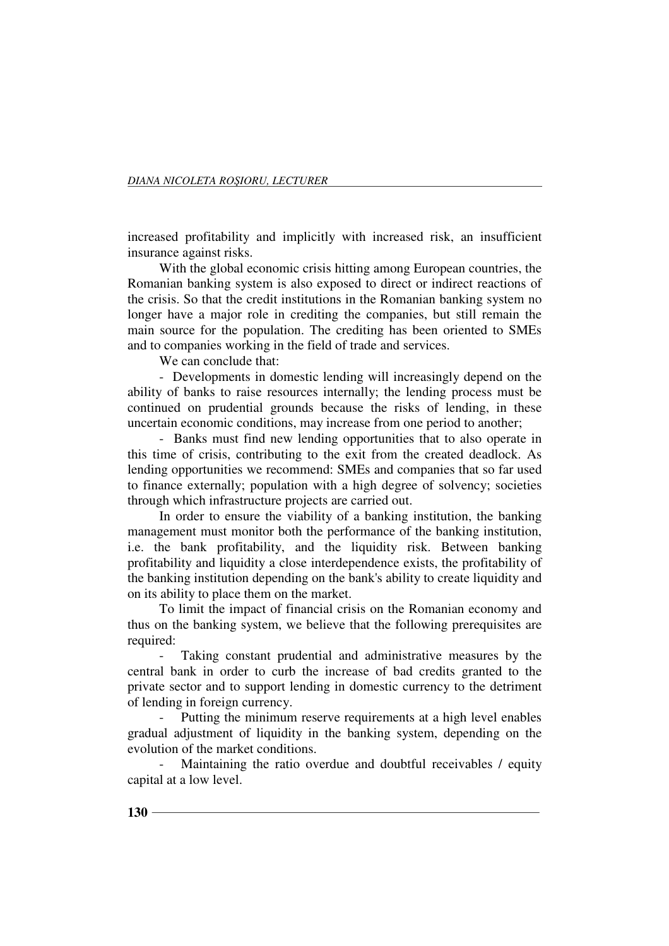increased profitability and implicitly with increased risk, an insufficient insurance against risks.

With the global economic crisis hitting among European countries, the Romanian banking system is also exposed to direct or indirect reactions of the crisis. So that the credit institutions in the Romanian banking system no longer have a major role in crediting the companies, but still remain the main source for the population. The crediting has been oriented to SMEs and to companies working in the field of trade and services.

We can conclude that:

- Developments in domestic lending will increasingly depend on the ability of banks to raise resources internally; the lending process must be continued on prudential grounds because the risks of lending, in these uncertain economic conditions, may increase from one period to another;

- Banks must find new lending opportunities that to also operate in this time of crisis, contributing to the exit from the created deadlock. As lending opportunities we recommend: SMEs and companies that so far used to finance externally; population with a high degree of solvency; societies through which infrastructure projects are carried out.

In order to ensure the viability of a banking institution, the banking management must monitor both the performance of the banking institution, i.e. the bank profitability, and the liquidity risk. Between banking profitability and liquidity a close interdependence exists, the profitability of the banking institution depending on the bank's ability to create liquidity and on its ability to place them on the market.

To limit the impact of financial crisis on the Romanian economy and thus on the banking system, we believe that the following prerequisites are required:

Taking constant prudential and administrative measures by the central bank in order to curb the increase of bad credits granted to the private sector and to support lending in domestic currency to the detriment of lending in foreign currency.

Putting the minimum reserve requirements at a high level enables gradual adjustment of liquidity in the banking system, depending on the evolution of the market conditions.

Maintaining the ratio overdue and doubtful receivables / equity capital at a low level.

**130**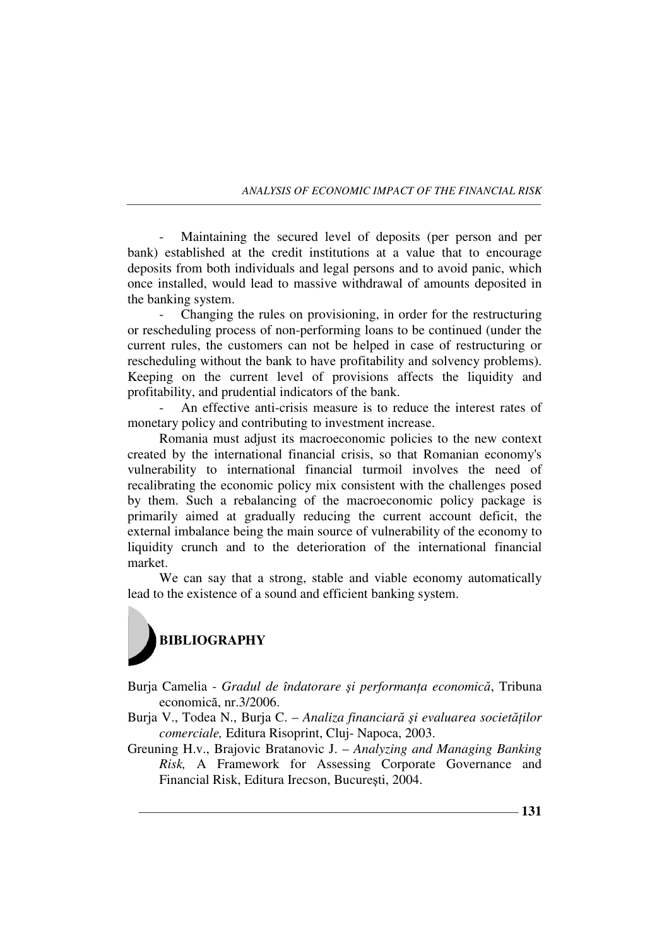Maintaining the secured level of deposits (per person and per bank) established at the credit institutions at a value that to encourage deposits from both individuals and legal persons and to avoid panic, which once installed, would lead to massive withdrawal of amounts deposited in the banking system.

Changing the rules on provisioning, in order for the restructuring or rescheduling process of non-performing loans to be continued (under the current rules, the customers can not be helped in case of restructuring or rescheduling without the bank to have profitability and solvency problems). Keeping on the current level of provisions affects the liquidity and profitability, and prudential indicators of the bank.

An effective anti-crisis measure is to reduce the interest rates of monetary policy and contributing to investment increase.

Romania must adjust its macroeconomic policies to the new context created by the international financial crisis, so that Romanian economy's vulnerability to international financial turmoil involves the need of recalibrating the economic policy mix consistent with the challenges posed by them. Such a rebalancing of the macroeconomic policy package is primarily aimed at gradually reducing the current account deficit, the external imbalance being the main source of vulnerability of the economy to liquidity crunch and to the deterioration of the international financial market.

We can say that a strong, stable and viable economy automatically lead to the existence of a sound and efficient banking system.



Burja Camelia - *Gradul de îndatorare și performanța economică*, Tribuna economică, nr.3/2006.

- Burja V., Todea N., Burja C. Analiza financiară și evaluarea societăților *comerciale,* Editura Risoprint, Cluj- Napoca, 2003.
- Greuning H.v., Brajovic Bratanovic J. *Analyzing and Managing Banking Risk,* A Framework for Assessing Corporate Governance and Financial Risk, Editura Irecson, Bucureşti, 2004.